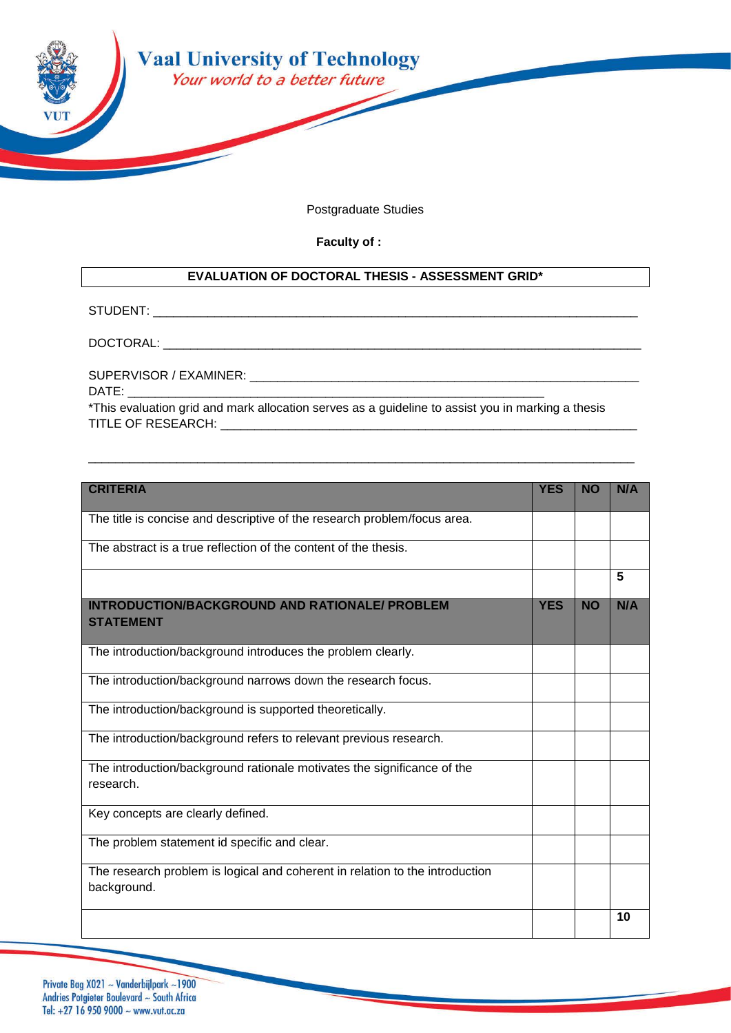

Postgraduate Studies

**Faculty of :** 

## **EVALUATION OF DOCTORAL THESIS - ASSESSMENT GRID\***

STUDENT: \_\_\_\_\_\_\_\_\_\_\_\_\_\_\_\_\_\_\_\_\_\_\_\_\_\_\_\_\_\_\_\_\_\_\_\_\_\_\_\_\_\_\_\_\_\_\_\_\_\_\_\_\_\_\_\_\_\_\_\_\_\_\_\_\_\_\_\_\_\_\_

 $\mathsf{DOCTORAL:}\_\!\_$ 

SUPERVISOR / EXAMINER: \_\_\_\_\_\_\_\_\_\_\_\_\_\_\_\_\_\_\_\_\_\_\_\_\_\_\_\_\_\_\_\_\_\_\_\_\_\_\_\_\_\_\_\_\_\_\_\_\_\_\_\_\_\_\_\_\_

DATE:

\*This evaluation grid and mark allocation serves as a guideline to assist you in marking a thesis TITLE OF RESEARCH: **WE SEE** 

\_\_\_\_\_\_\_\_\_\_\_\_\_\_\_\_\_\_\_\_\_\_\_\_\_\_\_\_\_\_\_\_\_\_\_\_\_\_\_\_\_\_\_\_\_\_\_\_\_\_\_\_\_\_\_\_\_\_\_\_\_\_\_\_\_\_\_\_\_\_\_\_\_\_\_\_\_\_\_\_

| <b>CRITERIA</b>                                                                             | <b>YES</b> | <b>NO</b> | N/A |
|---------------------------------------------------------------------------------------------|------------|-----------|-----|
| The title is concise and descriptive of the research problem/focus area.                    |            |           |     |
| The abstract is a true reflection of the content of the thesis.                             |            |           |     |
|                                                                                             |            |           | 5   |
| <b>INTRODUCTION/BACKGROUND AND RATIONALE/ PROBLEM</b><br><b>STATEMENT</b>                   | <b>YES</b> | <b>NO</b> | N/A |
| The introduction/background introduces the problem clearly.                                 |            |           |     |
| The introduction/background narrows down the research focus.                                |            |           |     |
| The introduction/background is supported theoretically.                                     |            |           |     |
| The introduction/background refers to relevant previous research.                           |            |           |     |
| The introduction/background rationale motivates the significance of the<br>research.        |            |           |     |
| Key concepts are clearly defined.                                                           |            |           |     |
| The problem statement id specific and clear.                                                |            |           |     |
| The research problem is logical and coherent in relation to the introduction<br>background. |            |           |     |
|                                                                                             |            |           | 10  |

Private Bag X021 ~ Vanderbijlpark ~1900 Andries Potgieter Boulevard ~ South Africa Tel: +27 16 950 9000 ~ www.vut.ac.za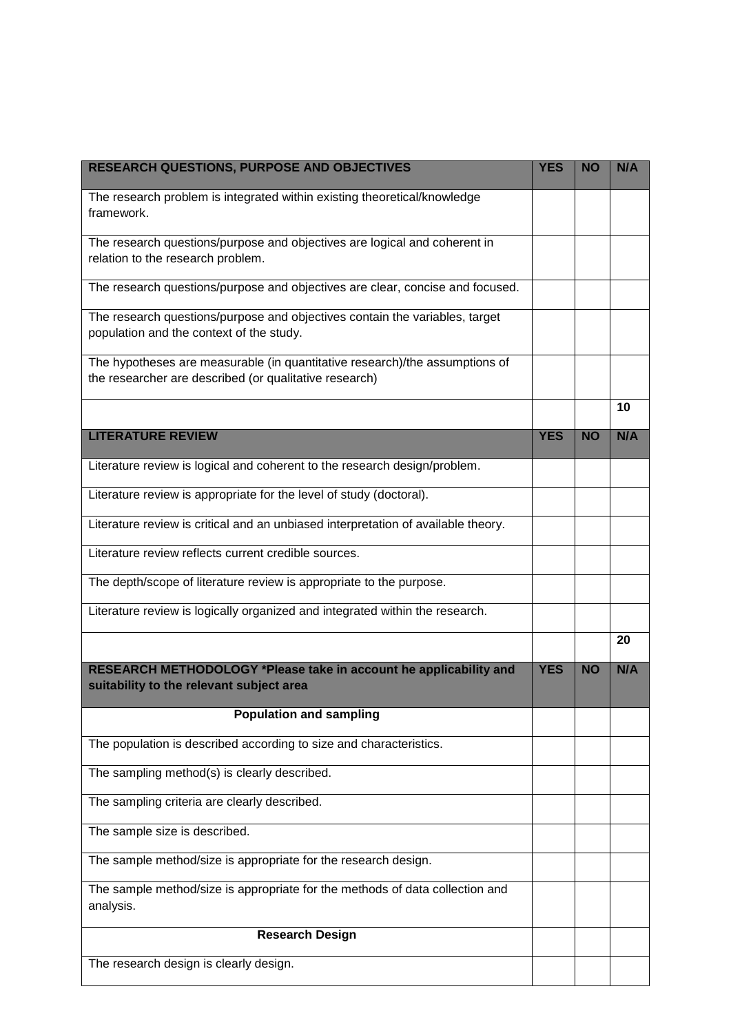| RESEARCH QUESTIONS, PURPOSE AND OBJECTIVES                                                                                            |            | <b>NO</b> | N/A |
|---------------------------------------------------------------------------------------------------------------------------------------|------------|-----------|-----|
| The research problem is integrated within existing theoretical/knowledge<br>framework.                                                |            |           |     |
| The research questions/purpose and objectives are logical and coherent in                                                             |            |           |     |
| relation to the research problem.                                                                                                     |            |           |     |
| The research questions/purpose and objectives are clear, concise and focused.                                                         |            |           |     |
| The research questions/purpose and objectives contain the variables, target<br>population and the context of the study.               |            |           |     |
| The hypotheses are measurable (in quantitative research)/the assumptions of<br>the researcher are described (or qualitative research) |            |           |     |
|                                                                                                                                       |            |           | 10  |
| <b>LITERATURE REVIEW</b>                                                                                                              | <b>YES</b> | <b>NO</b> | N/A |
| Literature review is logical and coherent to the research design/problem.                                                             |            |           |     |
| Literature review is appropriate for the level of study (doctoral).                                                                   |            |           |     |
| Literature review is critical and an unbiased interpretation of available theory.                                                     |            |           |     |
| Literature review reflects current credible sources.                                                                                  |            |           |     |
| The depth/scope of literature review is appropriate to the purpose.                                                                   |            |           |     |
| Literature review is logically organized and integrated within the research.                                                          |            |           |     |
|                                                                                                                                       |            |           | 20  |
| RESEARCH METHODOLOGY *Please take in account he applicability and<br>suitability to the relevant subject area                         | <b>YES</b> | <b>NO</b> | N/A |
| <b>Population and sampling</b>                                                                                                        |            |           |     |
| The population is described according to size and characteristics.                                                                    |            |           |     |
| The sampling method(s) is clearly described.                                                                                          |            |           |     |
| The sampling criteria are clearly described.                                                                                          |            |           |     |
| The sample size is described.                                                                                                         |            |           |     |
| The sample method/size is appropriate for the research design.                                                                        |            |           |     |
| The sample method/size is appropriate for the methods of data collection and<br>analysis.                                             |            |           |     |
| <b>Research Design</b>                                                                                                                |            |           |     |
| The research design is clearly design.                                                                                                |            |           |     |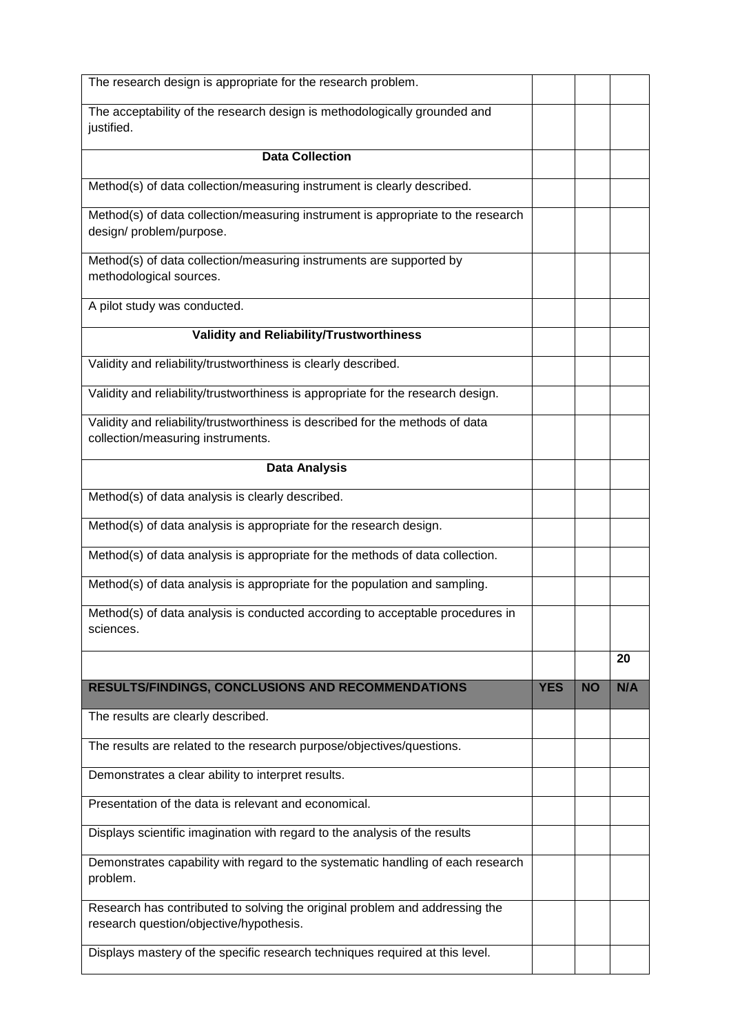| The research design is appropriate for the research problem.                                                           |            |           |     |
|------------------------------------------------------------------------------------------------------------------------|------------|-----------|-----|
| The acceptability of the research design is methodologically grounded and<br>justified.                                |            |           |     |
| <b>Data Collection</b>                                                                                                 |            |           |     |
| Method(s) of data collection/measuring instrument is clearly described.                                                |            |           |     |
| Method(s) of data collection/measuring instrument is appropriate to the research<br>design/problem/purpose.            |            |           |     |
| Method(s) of data collection/measuring instruments are supported by<br>methodological sources.                         |            |           |     |
| A pilot study was conducted.                                                                                           |            |           |     |
| <b>Validity and Reliability/Trustworthiness</b>                                                                        |            |           |     |
| Validity and reliability/trustworthiness is clearly described.                                                         |            |           |     |
| Validity and reliability/trustworthiness is appropriate for the research design.                                       |            |           |     |
| Validity and reliability/trustworthiness is described for the methods of data<br>collection/measuring instruments.     |            |           |     |
| <b>Data Analysis</b>                                                                                                   |            |           |     |
| Method(s) of data analysis is clearly described.                                                                       |            |           |     |
| Method(s) of data analysis is appropriate for the research design.                                                     |            |           |     |
| Method(s) of data analysis is appropriate for the methods of data collection.                                          |            |           |     |
| Method(s) of data analysis is appropriate for the population and sampling.                                             |            |           |     |
| Method(s) of data analysis is conducted according to acceptable procedures in<br>sciences.                             |            |           |     |
|                                                                                                                        |            |           | 20  |
| <b>RESULTS/FINDINGS, CONCLUSIONS AND RECOMMENDATIONS</b>                                                               | <b>YES</b> | <b>NO</b> | N/A |
| The results are clearly described.                                                                                     |            |           |     |
| The results are related to the research purpose/objectives/questions.                                                  |            |           |     |
| Demonstrates a clear ability to interpret results.                                                                     |            |           |     |
| Presentation of the data is relevant and economical.                                                                   |            |           |     |
| Displays scientific imagination with regard to the analysis of the results                                             |            |           |     |
| Demonstrates capability with regard to the systematic handling of each research<br>problem.                            |            |           |     |
| Research has contributed to solving the original problem and addressing the<br>research question/objective/hypothesis. |            |           |     |
| Displays mastery of the specific research techniques required at this level.                                           |            |           |     |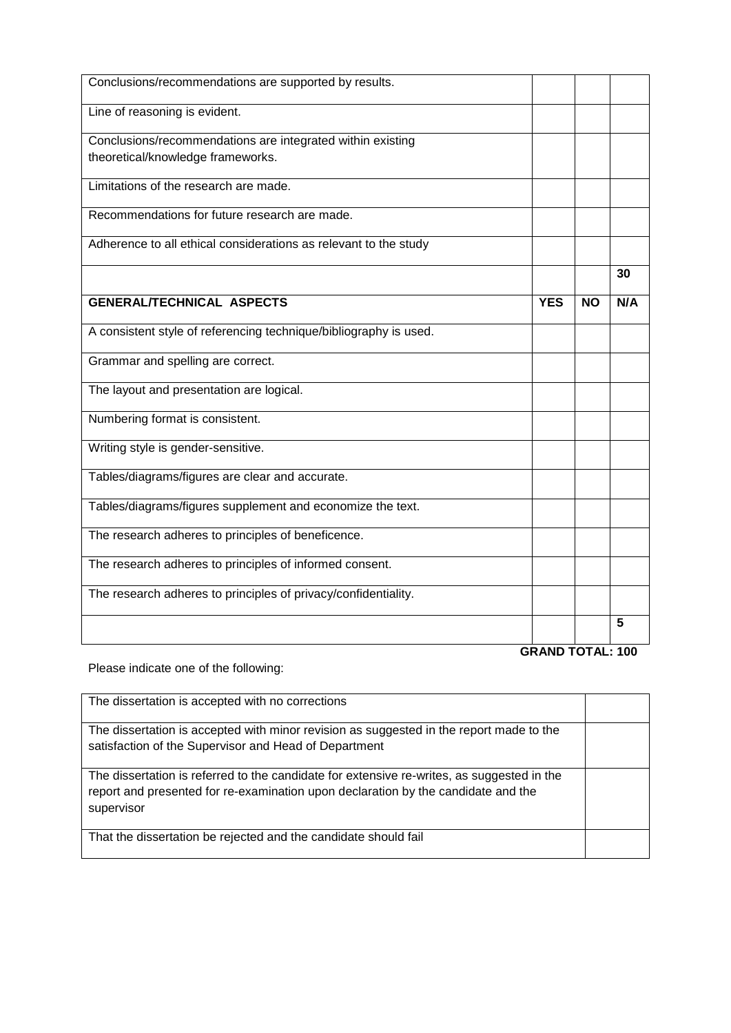| Conclusions/recommendations are supported by results.             |                         |           |     |
|-------------------------------------------------------------------|-------------------------|-----------|-----|
| Line of reasoning is evident.                                     |                         |           |     |
| Conclusions/recommendations are integrated within existing        |                         |           |     |
| theoretical/knowledge frameworks.                                 |                         |           |     |
| Limitations of the research are made.                             |                         |           |     |
| Recommendations for future research are made.                     |                         |           |     |
| Adherence to all ethical considerations as relevant to the study  |                         |           |     |
|                                                                   |                         |           | 30  |
| <b>GENERAL/TECHNICAL ASPECTS</b>                                  | <b>YES</b>              | <b>NO</b> | N/A |
| A consistent style of referencing technique/bibliography is used. |                         |           |     |
| Grammar and spelling are correct.                                 |                         |           |     |
| The layout and presentation are logical.                          |                         |           |     |
| Numbering format is consistent.                                   |                         |           |     |
| Writing style is gender-sensitive.                                |                         |           |     |
| Tables/diagrams/figures are clear and accurate.                   |                         |           |     |
| Tables/diagrams/figures supplement and economize the text.        |                         |           |     |
| The research adheres to principles of beneficence.                |                         |           |     |
| The research adheres to principles of informed consent.           |                         |           |     |
| The research adheres to principles of privacy/confidentiality.    |                         |           |     |
|                                                                   |                         |           | 5   |
|                                                                   | <b>GRAND TOTAL: 100</b> |           |     |

Please indicate one of the following:

| The dissertation is accepted with no corrections                                                                                                                                              |  |
|-----------------------------------------------------------------------------------------------------------------------------------------------------------------------------------------------|--|
| The dissertation is accepted with minor revision as suggested in the report made to the<br>satisfaction of the Supervisor and Head of Department                                              |  |
| The dissertation is referred to the candidate for extensive re-writes, as suggested in the<br>report and presented for re-examination upon declaration by the candidate and the<br>supervisor |  |
| That the dissertation be rejected and the candidate should fail                                                                                                                               |  |